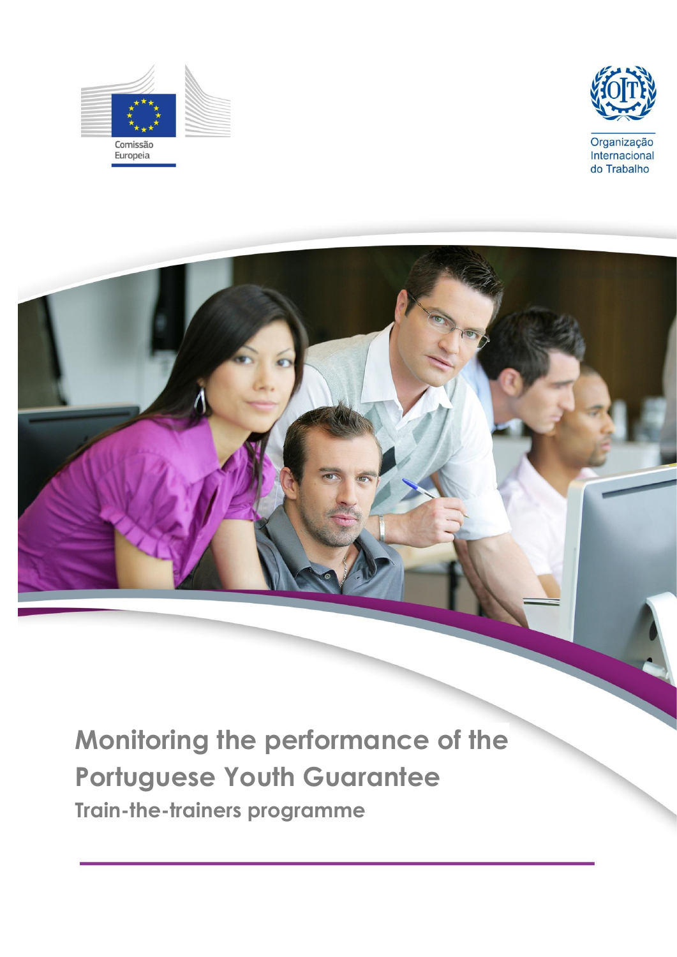



**Monitoring the performance of the Portuguese Youth Guarantee Train-the-trainers programme**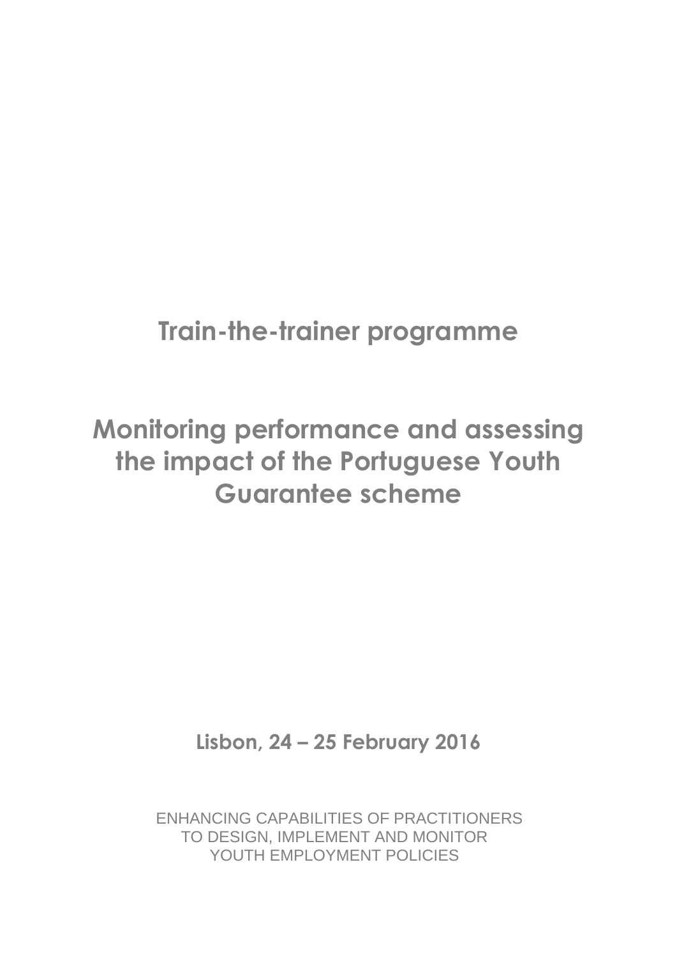## **Train-the-trainer programme**

# **Monitoring performance and assessing the impact of the Portuguese Youth Guarantee scheme**

**Lisbon, 24 – 25 February 2016**

ENHANCING CAPABILITIES OF PRACTITIONERS TO DESIGN, IMPLEMENT AND MONITOR YOUTH EMPLOYMENT POLICIES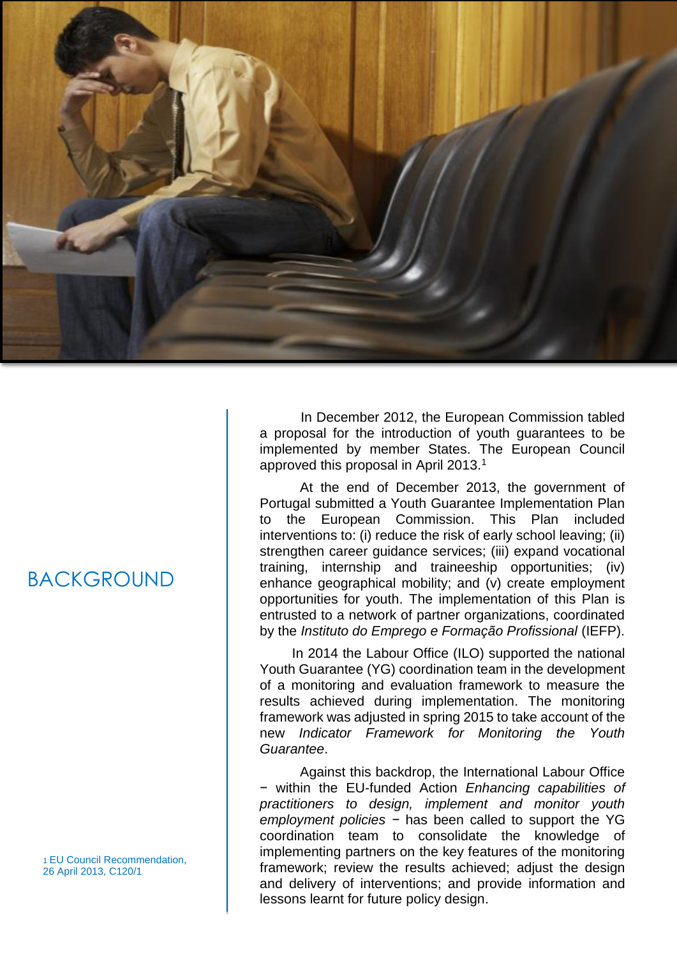

### BACKGROUND

1 EU Council Recommendation, 26 April 2013, C120/1

In December 2012, the European Commission tabled a proposal for the introduction of youth guarantees to be implemented by member States. The European Council approved this proposal in April 2013.<sup>1</sup>

At the end of December 2013, the government of Portugal submitted a Youth Guarantee Implementation Plan to the European Commission. This Plan included interventions to: (i) reduce the risk of early school leaving; (ii) strengthen career guidance services; (iii) expand vocational training, internship and traineeship opportunities; (iv) enhance geographical mobility; and (v) create employment opportunities for youth. The implementation of this Plan is entrusted to a network of partner organizations, coordinated by the *Instituto do Emprego e Formação Profissional* (IEFP).

In 2014 the Labour Office (ILO) supported the national Youth Guarantee (YG) coordination team in the development of a monitoring and evaluation framework to measure the results achieved during implementation. The monitoring framework was adjusted in spring 2015 to take account of the new *Indicator Framework for Monitoring the Youth Guarantee*.

Against this backdrop, the International Labour Office − within the EU-funded Action *Enhancing capabilities of practitioners to design, implement and monitor youth employment policies −* has been called to support the YG coordination team to consolidate the knowledge of implementing partners on the key features of the monitoring framework; review the results achieved; adjust the design and delivery of interventions; and provide information and lessons learnt for future policy design.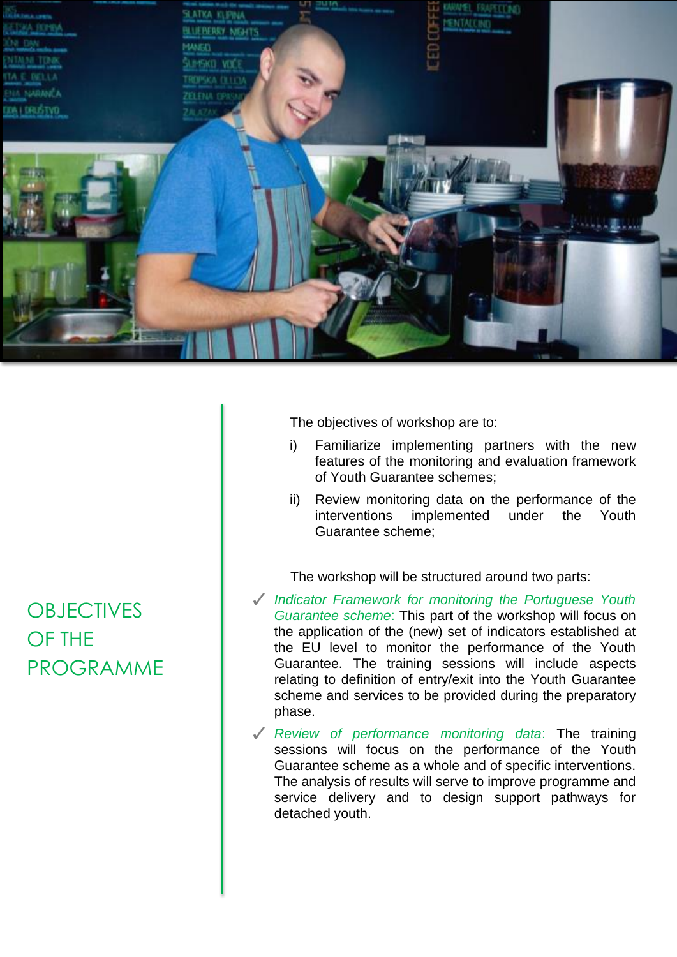

The objectives of workshop are to:

- i) Familiarize implementing partners with the new features of the monitoring and evaluation framework of Youth Guarantee schemes;
- ii) Review monitoring data on the performance of the interventions implemented under the Youth Guarantee scheme;

The workshop will be structured around two parts:

- *Indicator Framework for monitoring the Portuguese Youth Guarantee scheme*: This part of the workshop will focus on the application of the (new) set of indicators established at the EU level to monitor the performance of the Youth Guarantee. The training sessions will include aspects relating to definition of entry/exit into the Youth Guarantee scheme and services to be provided during the preparatory phase.
- *Review of performance monitoring data*: The training sessions will focus on the performance of the Youth Guarantee scheme as a whole and of specific interventions. The analysis of results will serve to improve programme and service delivery and to design support pathways for detached youth.

### **OBJECTIVES** OF THE PROGRAMME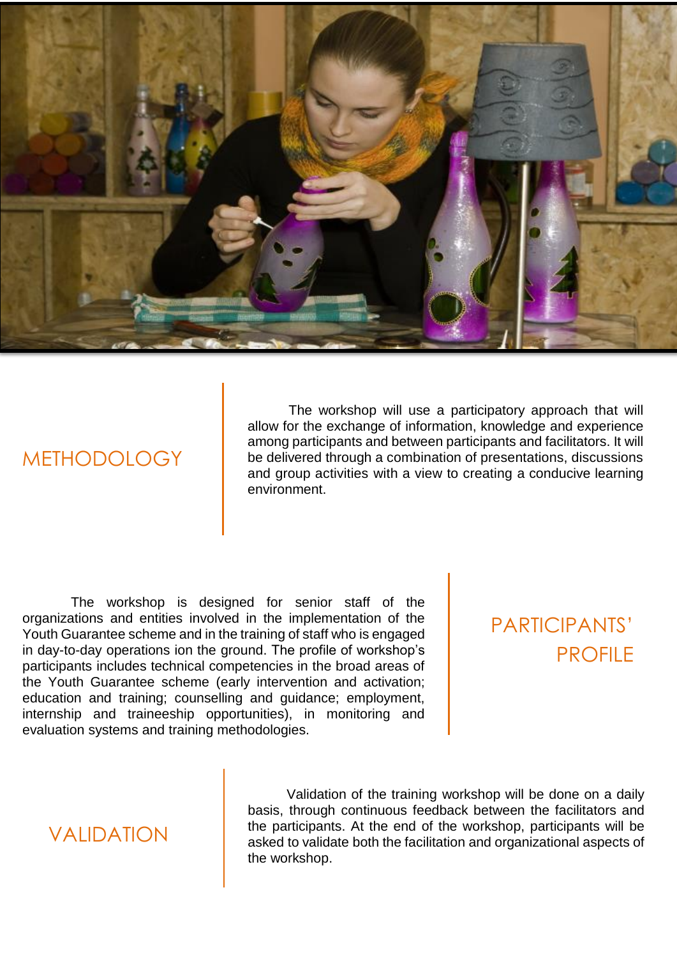

### METHODOLOGY

The workshop will use a participatory approach that will allow for the exchange of information, knowledge and experience among participants and between participants and facilitators. It will be delivered through a combination of presentations, discussions and group activities with a view to creating a conducive learning environment.

The workshop is designed for senior staff of the organizations and entities involved in the implementation of the Youth Guarantee scheme and in the training of staff who is engaged in day-to-day operations ion the ground. The profile of workshop's participants includes technical competencies in the broad areas of the Youth Guarantee scheme (early intervention and activation; education and training; counselling and guidance; employment, internship and traineeship opportunities), in monitoring and evaluation systems and training methodologies.

### PARTICIPANTS' PROFILE

### **VALIDATION**

Validation of the training workshop will be done on a daily basis, through continuous feedback between the facilitators and the participants. At the end of the workshop, participants will be asked to validate both the facilitation and organizational aspects of the workshop.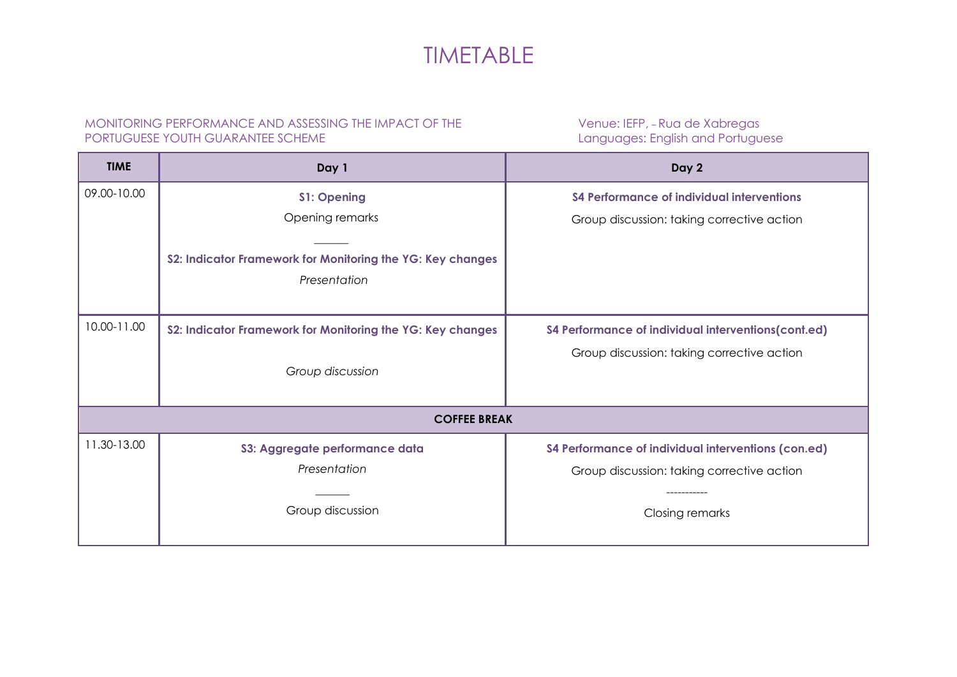### TIMETABLE

#### MONITORING PERFORMANCE AND ASSESSING THE IMPACT OF THE PORTUGUESE YOUTH GUARANTEE SCHEME

Venue: IEFP, – Rua de Xabregas Languages: English and Portuguese

| <b>TIME</b>         | Day 1                                                                      | Day 2                                                                                             |
|---------------------|----------------------------------------------------------------------------|---------------------------------------------------------------------------------------------------|
| 09.00-10.00         | <b>S1: Opening</b><br>Opening remarks                                      | S4 Performance of individual interventions<br>Group discussion: taking corrective action          |
|                     | S2: Indicator Framework for Monitoring the YG: Key changes<br>Presentation |                                                                                                   |
| 10.00-11.00         | S2: Indicator Framework for Monitoring the YG: Key changes                 | S4 Performance of individual interventions(cont.ed)                                               |
|                     | Group discussion                                                           | Group discussion: taking corrective action                                                        |
| <b>COFFEE BREAK</b> |                                                                            |                                                                                                   |
| 11.30-13.00         | S3: Aggregate performance data<br>Presentation                             | S4 Performance of individual interventions (con.ed)<br>Group discussion: taking corrective action |
|                     | Group discussion                                                           | <b>Closing remarks</b>                                                                            |